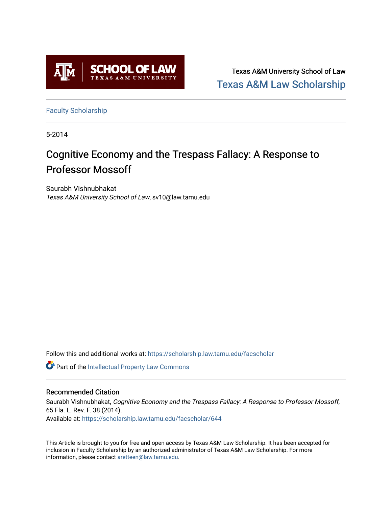

Texas A&M University School of Law [Texas A&M Law Scholarship](https://scholarship.law.tamu.edu/) 

[Faculty Scholarship](https://scholarship.law.tamu.edu/facscholar)

5-2014

## Cognitive Economy and the Trespass Fallacy: A Response to Professor Mossoff

Saurabh Vishnubhakat Texas A&M University School of Law, sv10@law.tamu.edu

Follow this and additional works at: [https://scholarship.law.tamu.edu/facscholar](https://scholarship.law.tamu.edu/facscholar?utm_source=scholarship.law.tamu.edu%2Ffacscholar%2F644&utm_medium=PDF&utm_campaign=PDFCoverPages) 

Part of the [Intellectual Property Law Commons](http://network.bepress.com/hgg/discipline/896?utm_source=scholarship.law.tamu.edu%2Ffacscholar%2F644&utm_medium=PDF&utm_campaign=PDFCoverPages) 

## Recommended Citation

Saurabh Vishnubhakat, Cognitive Economy and the Trespass Fallacy: A Response to Professor Mossoff, 65 Fla. L. Rev. F. 38 (2014). Available at: [https://scholarship.law.tamu.edu/facscholar/644](https://scholarship.law.tamu.edu/facscholar/644?utm_source=scholarship.law.tamu.edu%2Ffacscholar%2F644&utm_medium=PDF&utm_campaign=PDFCoverPages)

This Article is brought to you for free and open access by Texas A&M Law Scholarship. It has been accepted for inclusion in Faculty Scholarship by an authorized administrator of Texas A&M Law Scholarship. For more information, please contact [aretteen@law.tamu.edu](mailto:aretteen@law.tamu.edu).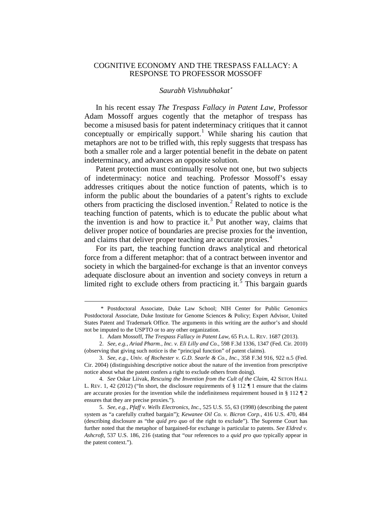## COGNITIVE ECONOMY AND THE TRESPASS FALLACY: A RESPONSE TO PROFESSOR MOSSOFF

## *Saurabh Vishnubhakat*<sup>∗</sup>

In his recent essay *The Trespass Fallacy in Patent Law*, Professor Adam Mossoff argues cogently that the metaphor of trespass has become a misused basis for patent indeterminacy critiques that it cannot conceptually or empirically support.<sup>[1](#page-1-0)</sup> While sharing his caution that metaphors are not to be trifled with, this reply suggests that trespass has both a smaller role and a larger potential benefit in the debate on patent indeterminacy, and advances an opposite solution.

Patent protection must continually resolve not one, but two subjects of indeterminacy: notice and teaching. Professor Mossoff's essay addresses critiques about the notice function of patents, which is to inform the public about the boundaries of a patent's rights to exclude others from practicing the disclosed invention.<sup>[2](#page-1-1)</sup> Related to notice is the teaching function of patents, which is to educate the public about what the invention is and how to practice it.<sup>[3](#page-1-2)</sup> Put another way, claims that deliver proper notice of boundaries are precise proxies for the invention, and claims that deliver proper teaching are accurate proxies.<sup>[4](#page-1-3)</sup>

For its part, the teaching function draws analytical and rhetorical force from a different metaphor: that of a contract between inventor and society in which the bargained-for exchange is that an inventor conveys adequate disclosure about an invention and society conveys in return a limited right to exclude others from practicing it.<sup>[5](#page-1-4)</sup> This bargain guards

 <sup>\*</sup> Postdoctoral Associate, Duke Law School; NIH Center for Public Genomics Postdoctoral Associate, Duke Institute for Genome Sciences & Policy; Expert Advisor, United States Patent and Trademark Office. The arguments in this writing are the author's and should not be imputed to the USPTO or to any other organization.

<sup>1.</sup> Adam Mossoff, *The Trespass Fallacy in Patent Law*, 65 FLA. L. REV. 1687 (2013).

<span id="page-1-1"></span><span id="page-1-0"></span><sup>2.</sup> *See*, *e.g.*, *Ariad Pharm., Inc. v. Eli Lilly and Co.*, 598 F.3d 1336, 1347 (Fed. Cir. 2010) (observing that giving such notice is the "principal function" of patent claims).

<span id="page-1-2"></span><sup>3.</sup> *See*, *e.g.*, *Univ. of Rochester v. G.D. Searle & Co., Inc.*, 358 F.3d 916, 922 n.5 (Fed. Cir. 2004) (distinguishing descriptive notice about the nature of the invention from prescriptive notice about what the patent confers a right to exclude others from doing).

<span id="page-1-3"></span><sup>4.</sup> *See* Oskar Liivak, *Rescuing the Invention from the Cult of the Claim*, 42 SETON HALL L. REV. 1, 42 (2012) ("In short, the disclosure requirements of  $\S 112 \P 1$  ensure that the claims are accurate proxies for the invention while the indefiniteness requirement housed in § 112 ¶ 2 ensures that they are precise proxies.").

<span id="page-1-4"></span><sup>5.</sup> *See*, *e.g.*, *Pfaff v. Wells Electronics, Inc.*, 525 U.S. 55, 63 (1998) (describing the patent system as "a carefully crafted bargain"); *Kewanee Oil Co. v. Bicron Corp.*, 416 U.S. 470, 484 (describing disclosure as "the *quid pro quo* of the right to exclude"). The Supreme Court has further noted that the metaphor of bargained-for exchange is particular to patents. *See Eldred v. Ashcroft*, 537 U.S. 186, 216 (stating that "our references to a *quid pro quo* typically appear in the patent context.").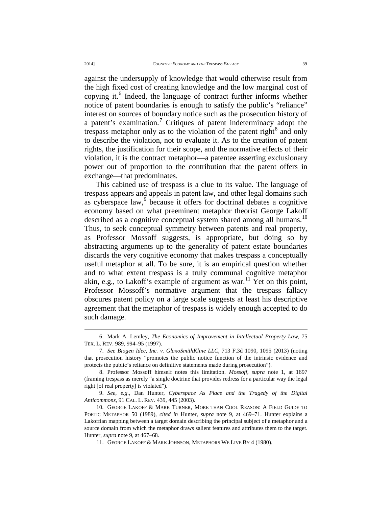against the undersupply of knowledge that would otherwise result from the high fixed cost of creating knowledge and the low marginal cost of copying it.<sup>[6](#page-2-0)</sup> Indeed, the language of contract further informs whether notice of patent boundaries is enough to satisfy the public's "reliance" interest on sources of boundary notice such as the prosecution history of a patent's examination.<sup>[7](#page-2-1)</sup> Critiques of patent indeterminacy adopt the trespass metaphor only as to the violation of the patent right $8$  and only to describe the violation, not to evaluate it. As to the creation of patent rights, the justification for their scope, and the normative effects of their violation, it is the contract metaphor—a patentee asserting exclusionary power out of proportion to the contribution that the patent offers in exchange—that predominates.

This cabined use of trespass is a clue to its value. The language of trespass appears and appeals in patent law, and other legal domains such as cyberspace law, $9$  because it offers for doctrinal debates a cognitive economy based on what preeminent metaphor theorist George Lakoff described as a cognitive conceptual system shared among all humans.<sup>[10](#page-2-4)</sup> Thus, to seek conceptual symmetry between patents and real property, as Professor Mossoff suggests, is appropriate, but doing so by abstracting arguments up to the generality of patent estate boundaries discards the very cognitive economy that makes trespass a conceptually useful metaphor at all. To be sure, it is an empirical question whether and to what extent trespass is a truly communal cognitive metaphor akin, e.g., to Lakoff's example of argument as war.<sup>[11](#page-2-5)</sup> Yet on this point, Professor Mossoff's normative argument that the trespass fallacy obscures patent policy on a large scale suggests at least his descriptive agreement that the metaphor of trespass is widely enough accepted to do such damage.

<span id="page-2-0"></span><sup>6.</sup> Mark A. Lemley, *The Economics of Improvement in Intellectual Property Law*, 75 TEX. L. REV. 989, 994–95 (1997).

<span id="page-2-1"></span><sup>7.</sup> *See Biogen Idec, Inc. v. GlaxoSmithKline LLC*, 713 F.3d 1090, 1095 (2013) (noting that prosecution history "promotes the public notice function of the intrinsic evidence and protects the public's reliance on definitive statements made during prosecution").

<span id="page-2-2"></span><sup>8.</sup> Professor Mossoff himself notes this limitation. *Mossoff*, *supra* note 1, at 1697 (framing trespass as merely "a single doctrine that provides redress for a particular way the legal right [of real property] is violated").

<span id="page-2-3"></span><sup>9.</sup> *See*, *e.g.*, Dan Hunter, *Cyberspace As Place and the Tragedy of the Digital Anticommons*, 91 CAL. L. REV. 439, 445 (2003).

<span id="page-2-5"></span><span id="page-2-4"></span><sup>10.</sup> GEORGE LAKOFF & MARK TURNER, MORE THAN COOL REASON: A FIELD GUIDE TO POETIC METAPHOR 50 (1989), *cited in* Hunter, *supra* note 9, at 469–71. Hunter explains a Lakoffian mapping between a target domain describing the principal subject of a metaphor and a source domain from which the metaphor draws salient features and attributes them to the target. Hunter, *supra* note 9, at 467–68.

<sup>11.</sup> GEORGE LAKOFF & MARK JOHNSON, METAPHORS WE LIVE BY 4 (1980).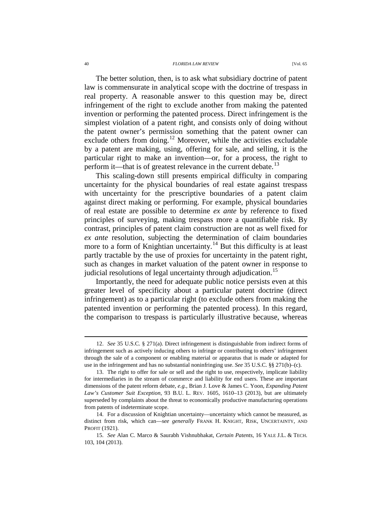40 *FLORIDA LAW REVIEW* [Vol. 65

The better solution, then, is to ask what subsidiary doctrine of patent law is commensurate in analytical scope with the doctrine of trespass in real property. A reasonable answer to this question may be, direct infringement of the right to exclude another from making the patented invention or performing the patented process. Direct infringement is the simplest violation of a patent right, and consists only of doing without the patent owner's permission something that the patent owner can exclude others from doing.<sup>[12](#page-3-0)</sup> Moreover, while the activities excludable by a patent are making, using, offering for sale, and selling, it is the particular right to make an invention—or, for a process, the right to perform it—that is of greatest relevance in the current debate.<sup>[13](#page-3-1)</sup>

This scaling-down still presents empirical difficulty in comparing uncertainty for the physical boundaries of real estate against trespass with uncertainty for the prescriptive boundaries of a patent claim against direct making or performing. For example, physical boundaries of real estate are possible to determine *ex ante* by reference to fixed principles of surveying, making trespass more a quantifiable risk. By contrast, principles of patent claim construction are not as well fixed for *ex ante* resolution, subjecting the determination of claim boundaries more to a form of Knightian uncertainty.<sup>[14](#page-3-2)</sup> But this difficulty is at least partly tractable by the use of proxies for uncertainty in the patent right, such as changes in market valuation of the patent owner in response to judicial resolutions of legal uncertainty through adjudication.<sup>[15](#page-3-3)</sup>

Importantly, the need for adequate public notice persists even at this greater level of specificity about a particular patent doctrine (direct infringement) as to a particular right (to exclude others from making the patented invention or performing the patented process). In this regard, the comparison to trespass is particularly illustrative because, whereas

<span id="page-3-0"></span><sup>12.</sup> *See* 35 U.S.C. § 271(a). Direct infringement is distinguishable from indirect forms of infringement such as actively inducing others to infringe or contributing to others' infringement through the sale of a component or enabling material or apparatus that is made or adapted for use in the infringement and has no substantial noninfringing use. *See* 35 U.S.C. §§ 271(b)–(c).

<span id="page-3-1"></span><sup>13.</sup> The right to offer for sale or sell and the right to use, respectively, implicate liability for intermediaries in the stream of commerce and liability for end users. These are important dimensions of the patent reform debate, *e.g.*, Brian J. Love & James C. Yoon, *Expanding Patent Law's Customer Suit Exception*, 93 B.U. L. REV. 1605, 1610–13 (2013), but are ultimately superseded by complaints about the threat to economically productive manufacturing operations from patents of indeterminate scope.

<span id="page-3-2"></span><sup>14.</sup> For a discussion of Knightian uncertainty—uncertainty which cannot be measured, as distinct from risk, which can—*see generally* FRANK H. KNIGHT, RISK, UNCERTAINTY, AND PROFIT (1921).

<span id="page-3-3"></span><sup>15.</sup> *See* Alan C. Marco & Saurabh Vishnubhakat, *Certain Patents*, 16 YALE J.L. & TECH. 103, 104 (2013).